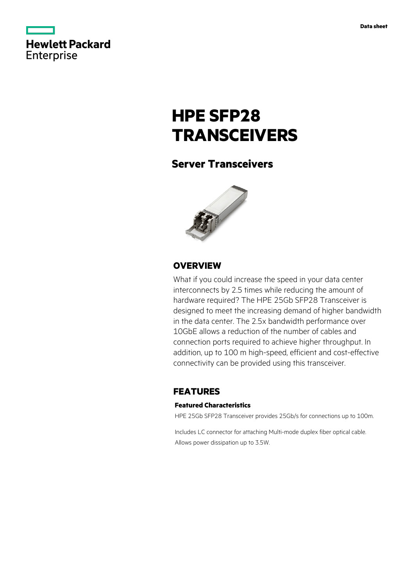

# **HPE SFP28 TRANSCEIVERS**

# **Server Transceivers**



## **OVERVIEW**

What if you could increase the speed in your data center interconnects by 2.5 times while reducing the amount of hardware required? The HPE 25Gb SFP28 Transceiver is designed to meet the increasing demand of higher bandwidth in the data center. The 2.5x bandwidth performance over 10GbE allows a reduction of the number of cables and connection ports required to achieve higher throughput. In addition, up to 100 m high-speed, efficient and cost-effective connectivity can be provided using this transceiver.

## **FEATURES**

#### **Featured Characteristics**

HPE 25Gb SFP28 Transceiver provides 25Gb/s for connections up to 100m.

Includes LC connector for attaching Multi-mode duplex fiber optical cable. Allows power dissipation up to 3.5W.